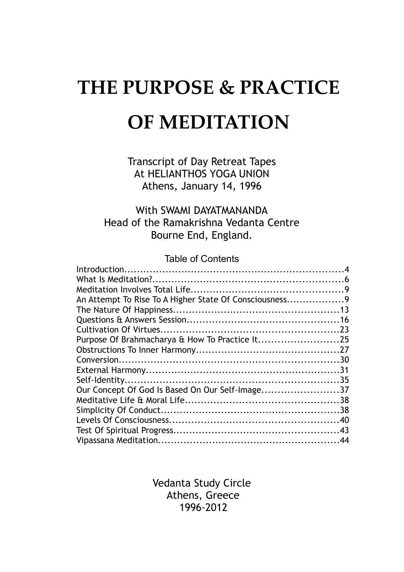# **THE PURPOSE & PRACTICE OF MEDITATION**

Transcript of Day Retreat Tapes At HELIANTHOS YOGA UNION Athens, January 14, 1996

#### With SWAMI DAYATMANANDA Head of the Ramakrishna Vedanta Centre Bourne End, England.

#### Table of Contents

| An Attempt To Rise To A Higher State Of Consciousness9 |  |
|--------------------------------------------------------|--|
|                                                        |  |
|                                                        |  |
|                                                        |  |
|                                                        |  |
|                                                        |  |
|                                                        |  |
|                                                        |  |
|                                                        |  |
| Our Concept Of God Is Based On Our Self-Image37        |  |
|                                                        |  |
|                                                        |  |
|                                                        |  |
|                                                        |  |
|                                                        |  |

Vedanta Study Circle Athens, Greece 1996-2012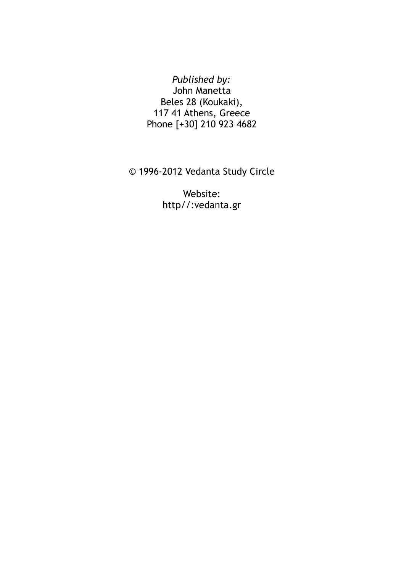#### *Published by:* John Manetta Beles 28 (Koukaki), 117 41 Athens, Greece Phone [+30] 210 923 4682

© 1996-2012 Vedanta Study Circle

Website: http//:vedanta.gr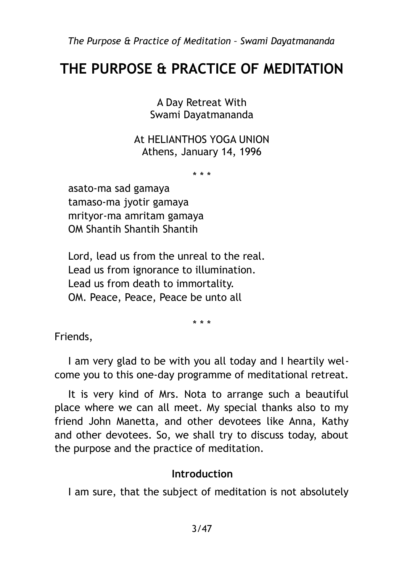# **THE PURPOSE & PRACTICE OF MEDITATION**

A Day Retreat With Swami Dayatmananda

At HELIANTHOS YOGA UNION Athens, January 14, 1996

\* \* \*

asato-ma sad gamaya tamaso-ma jyotir gamaya mrityor-ma amritam gamaya OM Shantih Shantih Shantih

Lord, lead us from the unreal to the real. Lead us from ignorance to illumination. Lead us from death to immortality. OM. Peace, Peace, Peace be unto all

\* \* \*

Friends,

I am very glad to be with you all today and I heartily welcome you to this one-day programme of meditational retreat.

It is very kind of Mrs. Nota to arrange such a beautiful place where we can all meet. My special thanks also to my friend John Manetta, and other devotees like Anna, Kathy and other devotees. So, we shall try to discuss today, about the purpose and the practice of meditation.

#### <span id="page-2-0"></span>**Introduction**

I am sure, that the subject of meditation is not absolutely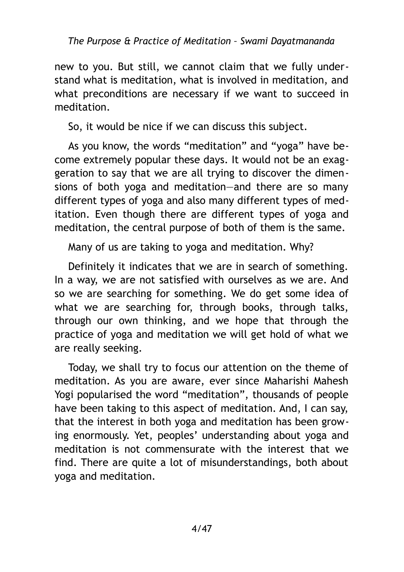new to you. But still, we cannot claim that we fully understand what is meditation, what is involved in meditation, and what preconditions are necessary if we want to succeed in meditation.

So, it would be nice if we can discuss this subject.

As you know, the words "meditation" and "yoga" have become extremely popular these days. It would not be an exaggeration to say that we are all trying to discover the dimensions of both yoga and meditation—and there are so many different types of yoga and also many different types of meditation. Even though there are different types of yoga and meditation, the central purpose of both of them is the same.

Many of us are taking to yoga and meditation. Why?

Definitely it indicates that we are in search of something. In a way, we are not satisfied with ourselves as we are. And so we are searching for something. We do get some idea of what we are searching for, through books, through talks, through our own thinking, and we hope that through the practice of yoga and meditation we will get hold of what we are really seeking.

Today, we shall try to focus our attention on the theme of meditation. As you are aware, ever since Maharishi Mahesh Yogi popularised the word "meditation", thousands of people have been taking to this aspect of meditation. And, I can say, that the interest in both yoga and meditation has been growing enormously. Yet, peoples' understanding about yoga and meditation is not commensurate with the interest that we find. There are quite a lot of misunderstandings, both about yoga and meditation.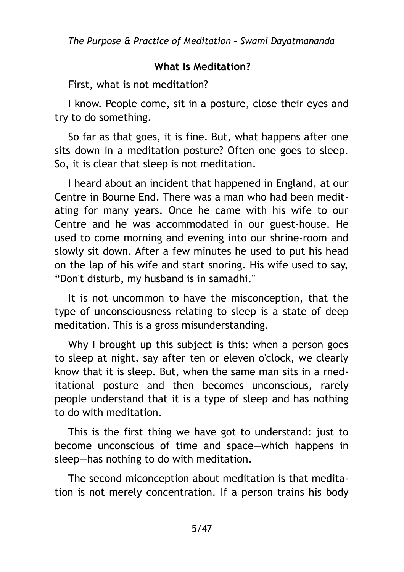#### <span id="page-4-0"></span>**What Is Meditation?**

First, what is not meditation?

I know. People come, sit in a posture, close their eyes and try to do something.

So far as that goes, it is fine. But, what happens after one sits down in a meditation posture? Often one goes to sleep. So, it is clear that sleep is not meditation.

I heard about an incident that happened in England, at our Centre in Bourne End. There was a man who had been meditating for many years. Once he came with his wife to our Centre and he was accommodated in our guest-house. He used to come morning and evening into our shrine-room and slowly sit down. After a few minutes he used to put his head on the lap of his wife and start snoring. His wife used to say, "Don't disturb, my husband is in samadhi."

It is not uncommon to have the misconception, that the type of unconsciousness relating to sleep is a state of deep meditation. This is a gross misunderstanding.

Why I brought up this subject is this: when a person goes to sleep at night, say after ten or eleven o'clock, we clearly know that it is sleep. But, when the same man sits in a rneditational posture and then becomes unconscious, rarely people understand that it is a type of sleep and has nothing to do with meditation.

This is the first thing we have got to understand: just to become unconscious of time and space—which happens in sleep—has nothing to do with meditation.

The second miconception about meditation is that meditation is not merely concentration. If a person trains his body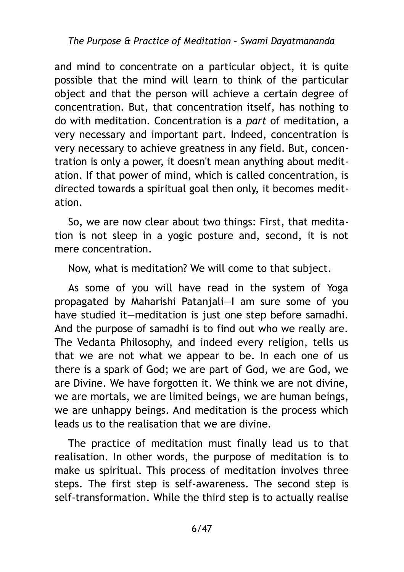and mind to concentrate on a particular object, it is quite possible that the mind will learn to think of the particular object and that the person will achieve a certain degree of concentration. But, that concentration itself, has nothing to do with meditation. Concentration is a *part* of meditation, a very necessary and important part. Indeed, concentration is very necessary to achieve greatness in any field. But, concentration is only a power, it doesn't mean anything about meditation. If that power of mind, which is called concentration, is directed towards a spiritual goal then only, it becomes meditation.

So, we are now clear about two things: First, that meditation is not sleep in a yogic posture and, second, it is not mere concentration.

Now, what is meditation? We will come to that subject.

As some of you will have read in the system of Yoga propagated by Maharishi Patanjali—I am sure some of you have studied it—meditation is just one step before samadhi. And the purpose of samadhi is to find out who we really are. The Vedanta Philosophy, and indeed every religion, tells us that we are not what we appear to be. In each one of us there is a spark of God; we are part of God, we are God, we are Divine. We have forgotten it. We think we are not divine, we are mortals, we are limited beings, we are human beings, we are unhappy beings. And meditation is the process which leads us to the realisation that we are divine.

The practice of meditation must finally lead us to that realisation. In other words, the purpose of meditation is to make us spiritual. This process of meditation involves three steps. The first step is self-awareness. The second step is self-transformation. While the third step is to actually realise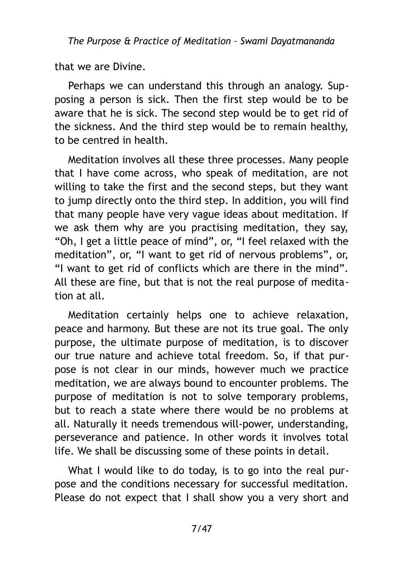that we are Divine.

Perhaps we can understand this through an analogy. Supposing a person is sick. Then the first step would be to be aware that he is sick. The second step would be to get rid of the sickness. And the third step would be to remain healthy, to be centred in health.

Meditation involves all these three processes. Many people that I have come across, who speak of meditation, are not willing to take the first and the second steps, but they want to jump directly onto the third step. In addition, you will find that many people have very vague ideas about meditation. If we ask them why are you practising meditation, they say, "Oh, I get a little peace of mind", or, "I feel relaxed with the meditation", or, "I want to get rid of nervous problems", or, "I want to get rid of conflicts which are there in the mind". All these are fine, but that is not the real purpose of meditation at all.

Meditation certainly helps one to achieve relaxation, peace and harmony. But these are not its true goal. The only purpose, the ultimate purpose of meditation, is to discover our true nature and achieve total freedom. So, if that purpose is not clear in our minds, however much we practice meditation, we are always bound to encounter problems. The purpose of meditation is not to solve temporary problems, but to reach a state where there would be no problems at all. Naturally it needs tremendous will-power, understanding, perseverance and patience. In other words it involves total life. We shall be discussing some of these points in detail.

What I would like to do today, is to go into the real purpose and the conditions necessary for successful meditation. Please do not expect that I shall show you a very short and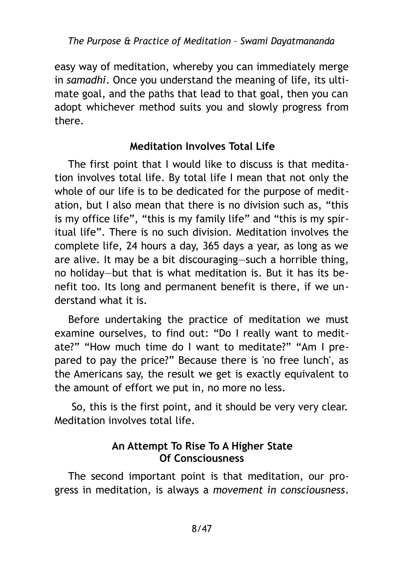easy way of meditation, whereby you can immediately merge in *samadhi*. Once you understand the meaning of life, its ultimate goal, and the paths that lead to that goal, then you can adopt whichever method suits you and slowly progress from there.

#### <span id="page-7-1"></span>**Meditation Involves Total Life**

The first point that I would like to discuss is that meditation involves total life. By total life I mean that not only the whole of our life is to be dedicated for the purpose of meditation, but I also mean that there is no division such as, "this is my office life", "this is my family life" and "this is my spiritual life". There is no such division. Meditation involves the complete life, 24 hours a day, 365 days a year, as long as we are alive. It may be a bit discouraging—such a horrible thing, no holiday—but that is what meditation is. But it has its benefit too. Its long and permanent benefit is there, if we understand what it is.

Before undertaking the practice of meditation we must examine ourselves, to find out: "Do I really want to meditate?" "How much time do I want to meditate?" "Am I prepared to pay the price?" Because there is 'no free lunch', as the Americans say, the result we get is exactly equivalent to the amount of effort we put in, no more no less.

 So, this is the first point, and it should be very very clear. Meditation involves total life.

#### <span id="page-7-0"></span>**An Attempt To Rise To A Higher State Of Consciousness**

The second important point is that meditation, our progress in meditation, is always a *movement in consciousness*.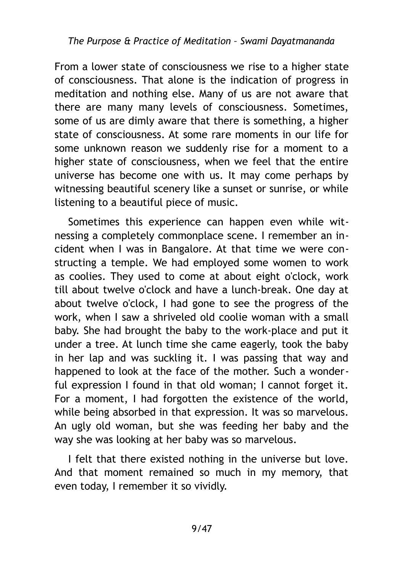From a lower state of consciousness we rise to a higher state of consciousness. That alone is the indication of progress in meditation and nothing else. Many of us are not aware that there are many many levels of consciousness. Sometimes, some of us are dimly aware that there is something, a higher state of consciousness. At some rare moments in our life for some unknown reason we suddenly rise for a moment to a higher state of consciousness, when we feel that the entire universe has become one with us. It may come perhaps by witnessing beautiful scenery like a sunset or sunrise, or while listening to a beautiful piece of music.

Sometimes this experience can happen even while witnessing a completely commonplace scene. I remember an incident when I was in Bangalore. At that time we were constructing a temple. We had employed some women to work as coolies. They used to come at about eight o'clock, work till about twelve o'clock and have a lunch-break. One day at about twelve o'clock, I had gone to see the progress of the work, when I saw a shriveled old coolie woman with a small baby. She had brought the baby to the work-place and put it under a tree. At lunch time she came eagerly, took the baby in her lap and was suckling it. I was passing that way and happened to look at the face of the mother. Such a wonderful expression I found in that old woman; I cannot forget it. For a moment, I had forgotten the existence of the world, while being absorbed in that expression. It was so marvelous. An ugly old woman, but she was feeding her baby and the way she was looking at her baby was so marvelous.

I felt that there existed nothing in the universe but love. And that moment remained so much in my memory, that even today, I remember it so vividly.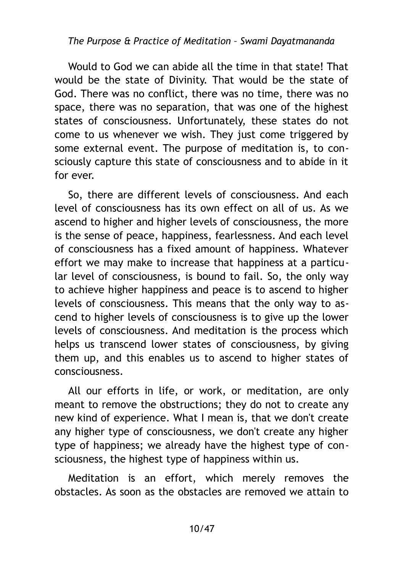Would to God we can abide all the time in that state! That would be the state of Divinity. That would be the state of God. There was no conflict, there was no time, there was no space, there was no separation, that was one of the highest states of consciousness. Unfortunately, these states do not come to us whenever we wish. They just come triggered by some external event. The purpose of meditation is, to consciously capture this state of consciousness and to abide in it for ever.

So, there are different levels of consciousness. And each level of consciousness has its own effect on all of us. As we ascend to higher and higher levels of consciousness, the more is the sense of peace, happiness, fearlessness. And each level of consciousness has a fixed amount of happiness. Whatever effort we may make to increase that happiness at a particular level of consciousness, is bound to fail. So, the only way to achieve higher happiness and peace is to ascend to higher levels of consciousness. This means that the only way to ascend to higher levels of consciousness is to give up the lower levels of consciousness. And meditation is the process which helps us transcend lower states of consciousness, by giving them up, and this enables us to ascend to higher states of consciousness.

All our efforts in life, or work, or meditation, are only meant to remove the obstructions; they do not to create any new kind of experience. What I mean is, that we don't create any higher type of consciousness, we don't create any higher type of happiness; we already have the highest type of consciousness, the highest type of happiness within us.

Meditation is an effort, which merely removes the obstacles. As soon as the obstacles are removed we attain to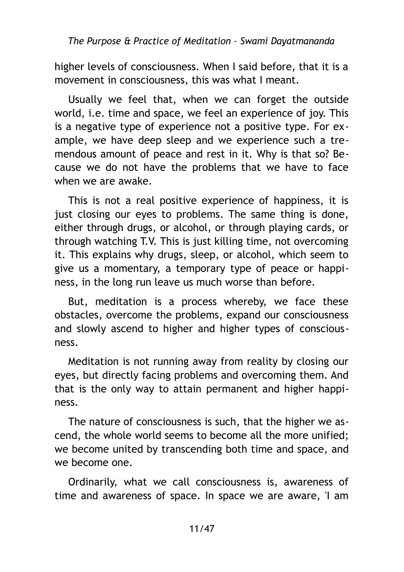higher levels of consciousness. When I said before, that it is a movement in consciousness, this was what I meant.

Usually we feel that, when we can forget the outside world, i.e. time and space, we feel an experience of joy. This is a negative type of experience not a positive type. For example, we have deep sleep and we experience such a tremendous amount of peace and rest in it. Why is that so? Because we do not have the problems that we have to face when we are awake.

This is not a real positive experience of happiness, it is just closing our eyes to problems. The same thing is done, either through drugs, or alcohol, or through playing cards, or through watching T.V. This is just killing time, not overcoming it. This explains why drugs, sleep, or alcohol, which seem to give us a momentary, a temporary type of peace or happiness, in the long run leave us much worse than before.

But, meditation is a process whereby, we face these obstacles, overcome the problems, expand our consciousness and slowly ascend to higher and higher types of consciousness.

Meditation is not running away from reality by closing our eyes, but directly facing problems and overcoming them. And that is the only way to attain permanent and higher happiness.

The nature of consciousness is such, that the higher we ascend, the whole world seems to become all the more unified; we become united by transcending both time and space, and we become one.

Ordinarily, what we call consciousness is, awareness of time and awareness of space. In space we are aware, 'I am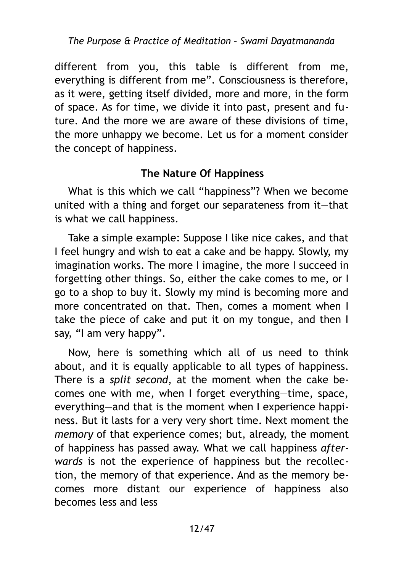different from you, this table is different from me, everything is different from me". Consciousness is therefore, as it were, getting itself divided, more and more, in the form of space. As for time, we divide it into past, present and future. And the more we are aware of these divisions of time, the more unhappy we become. Let us for a moment consider the concept of happiness.

# <span id="page-11-0"></span>**The Nature Of Happiness**

What is this which we call "happiness"? When we become united with a thing and forget our separateness from it—that is what we call happiness.

Take a simple example: Suppose I like nice cakes, and that I feel hungry and wish to eat a cake and be happy. Slowly, my imagination works. The more I imagine, the more I succeed in forgetting other things. So, either the cake comes to me, or I go to a shop to buy it. Slowly my mind is becoming more and more concentrated on that. Then, comes a moment when I take the piece of cake and put it on my tongue, and then I say, "I am very happy".

Now, here is something which all of us need to think about, and it is equally applicable to all types of happiness. There is a *split second*, at the moment when the cake becomes one with me, when I forget everything—time, space, everything—and that is the moment when I experience happiness. But it lasts for a very very short time. Next moment the *memory* of that experience comes; but, already, the moment of happiness has passed away. What we call happiness *afterwards* is not the experience of happiness but the recollection, the memory of that experience. And as the memory becomes more distant our experience of happiness also becomes less and less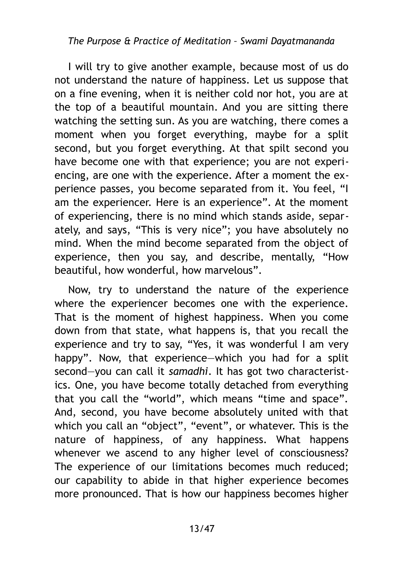I will try to give another example, because most of us do not understand the nature of happiness. Let us suppose that on a fine evening, when it is neither cold nor hot, you are at the top of a beautiful mountain. And you are sitting there watching the setting sun. As you are watching, there comes a moment when you forget everything, maybe for a split second, but you forget everything. At that spilt second you have become one with that experience; you are not experiencing, are one with the experience. After a moment the experience passes, you become separated from it. You feel, "I am the experiencer. Here is an experience". At the moment of experiencing, there is no mind which stands aside, separately, and says, "This is very nice"; you have absolutely no mind. When the mind become separated from the object of experience, then you say, and describe, mentally, "How beautiful, how wonderful, how marvelous".

Now, try to understand the nature of the experience where the experiencer becomes one with the experience. That is the moment of highest happiness. When you come down from that state, what happens is, that you recall the experience and try to say, "Yes, it was wonderful I am very happy". Now, that experience—which you had for a split second—you can call it *samadhi*. It has got two characteristics. One, you have become totally detached from everything that you call the "world", which means "time and space". And, second, you have become absolutely united with that which you call an "object", "event", or whatever. This is the nature of happiness, of any happiness. What happens whenever we ascend to any higher level of consciousness? The experience of our limitations becomes much reduced; our capability to abide in that higher experience becomes more pronounced. That is how our happiness becomes higher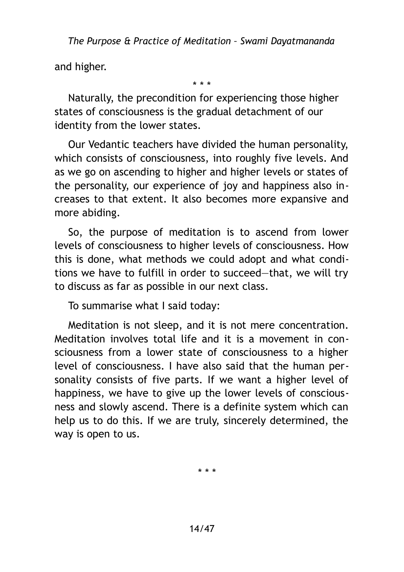and higher.

\* \* \*

Naturally, the precondition for experiencing those higher states of consciousness is the gradual detachment of our identity from the lower states.

Our Vedantic teachers have divided the human personality, which consists of consciousness, into roughly five levels. And as we go on ascending to higher and higher levels or states of the personality, our experience of joy and happiness also increases to that extent. It also becomes more expansive and more abiding.

So, the purpose of meditation is to ascend from lower levels of consciousness to higher levels of consciousness. How this is done, what methods we could adopt and what conditions we have to fulfill in order to succeed—that, we will try to discuss as far as possible in our next class.

To summarise what I said today:

Meditation is not sleep, and it is not mere concentration. Meditation involves total life and it is a movement in consciousness from a lower state of consciousness to a higher level of consciousness. I have also said that the human personality consists of five parts. If we want a higher level of happiness, we have to give up the lower levels of consciousness and slowly ascend. There is a definite system which can help us to do this. If we are truly, sincerely determined, the way is open to us.

\* \* \*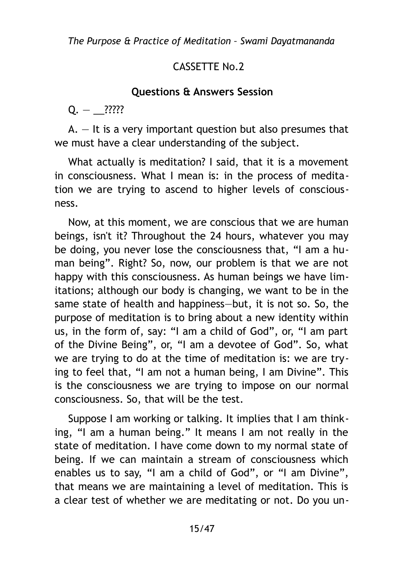# CASSETTE No. 2

#### <span id="page-14-0"></span>**Questions & Answers Session**

 $Q. -$  ?????

 $A. - It$  is a very important question but also presumes that we must have a clear understanding of the subject.

What actually is meditation? I said, that it is a movement in consciousness. What I mean is: in the process of meditation we are trying to ascend to higher levels of consciousness.

Now, at this moment, we are conscious that we are human beings, isn't it? Throughout the 24 hours, whatever you may be doing, you never lose the consciousness that, "I am a human being". Right? So, now, our problem is that we are not happy with this consciousness. As human beings we have limitations; although our body is changing, we want to be in the same state of health and happiness—but, it is not so. So, the purpose of meditation is to bring about a new identity within us, in the form of, say: "I am a child of God", or, "I am part of the Divine Being", or, "I am a devotee of God". So, what we are trying to do at the time of meditation is: we are trying to feel that, "I am not a human being, I am Divine". This is the consciousness we are trying to impose on our normal consciousness. So, that will be the test.

Suppose I am working or talking. It implies that I am thinking, "I am a human being." It means I am not really in the state of meditation. I have come down to my normal state of being. If we can maintain a stream of consciousness which enables us to say, "I am a child of God", or "I am Divine", that means we are maintaining a level of meditation. This is a clear test of whether we are meditating or not. Do you un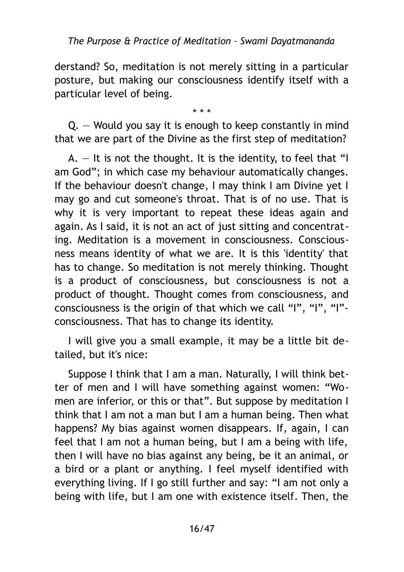derstand? So, meditation is not merely sitting in a particular posture, but making our consciousness identify itself with a particular level of being.

\* \* \*

Q. — Would you say it is enough to keep constantly in mind that we are part of the Divine as the first step of meditation?

 $A. - It$  is not the thought. It is the identity, to feel that "I am God"; in which case my behaviour automatically changes. If the behaviour doesn't change, I may think I am Divine yet I may go and cut someone's throat. That is of no use. That is why it is very important to repeat these ideas again and again. As I said, it is not an act of just sitting and concentrating. Meditation is a movement in consciousness. Consciousness means identity of what we are. It is this 'identity' that has to change. So meditation is not merely thinking. Thought is a product of consciousness, but consciousness is not a product of thought. Thought comes from consciousness, and consciousness is the origin of that which we call "I", "I", "I" consciousness. That has to change its identity.

I will give you a small example, it may be a little bit detailed, but it's nice:

Suppose I think that I am a man. Naturally, I will think better of men and I will have something against women: "Women are inferior, or this or that". But suppose by meditation I think that I am not a man but I am a human being. Then what happens? My bias against women disappears. If, again, I can feel that I am not a human being, but I am a being with life, then I will have no bias against any being, be it an animal, or a bird or a plant or anything. I feel myself identified with everything living. If I go still further and say: "I am not only a being with life, but I am one with existence itself. Then, the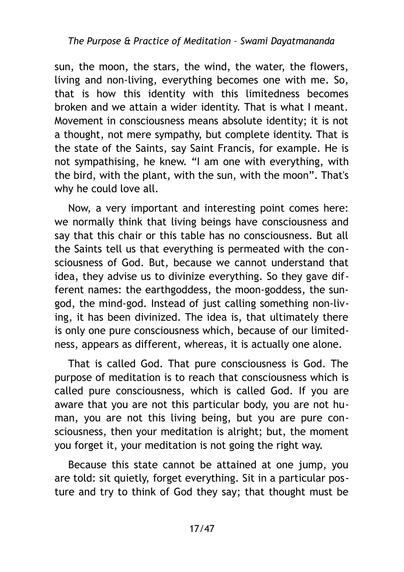sun, the moon, the stars, the wind, the water, the flowers, living and non-living, everything becomes one with me. So, that is how this identity with this limitedness becomes broken and we attain a wider identity. That is what I meant. Movement in consciousness means absolute identity; it is not a thought, not mere sympathy, but complete identity. That is the state of the Saints, say Saint Francis, for example. He is not sympathising, he knew. "I am one with everything, with the bird, with the plant, with the sun, with the moon". That's why he could love all.

Now, a very important and interesting point comes here: we normally think that living beings have consciousness and say that this chair or this table has no consciousness. But all the Saints tell us that everything is permeated with the consciousness of God. But, because we cannot understand that idea, they advise us to divinize everything. So they gave different names: the earthgoddess, the moon-goddess, the sungod, the mind-god. Instead of just calling something non-living, it has been divinized. The idea is, that ultimately there is only one pure consciousness which, because of our limitedness, appears as different, whereas, it is actually one alone.

That is called God. That pure consciousness is God. The purpose of meditation is to reach that consciousness which is called pure consciousness, which is called God. If you are aware that you are not this particular body, you are not human, you are not this living being, but you are pure consciousness, then your meditation is alright; but, the moment you forget it, your meditation is not going the right way.

Because this state cannot be attained at one jump, you are told: sit quietly, forget everything. Sit in a particular posture and try to think of God they say; that thought must be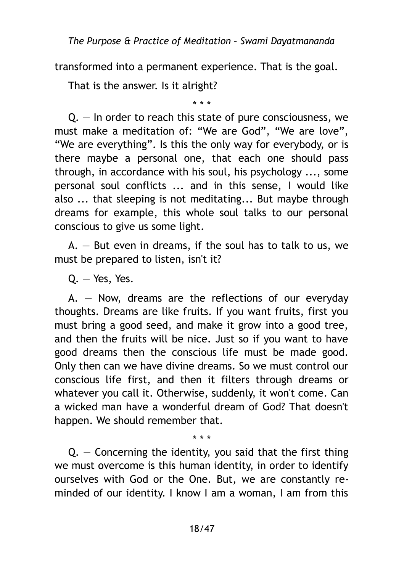transformed into a permanent experience. That is the goal.

That is the answer. Is it alright?

\* \* \*

Q. — In order to reach this state of pure consciousness, we must make a meditation of: "We are God", "We are love", "We are everything". Is this the only way for everybody, or is there maybe a personal one, that each one should pass through, in accordance with his soul, his psychology ..., some personal soul conflicts ... and in this sense, I would like also ... that sleeping is not meditating... But maybe through dreams for example, this whole soul talks to our personal conscious to give us some light.

 $A. -$  But even in dreams, if the soul has to talk to us, we must be prepared to listen, isn't it?

Q. — Yes, Yes.

 $A. - Now,$  dreams are the reflections of our everyday thoughts. Dreams are like fruits. If you want fruits, first you must bring a good seed, and make it grow into a good tree, and then the fruits will be nice. Just so if you want to have good dreams then the conscious life must be made good. Only then can we have divine dreams. So we must control our conscious life first, and then it filters through dreams or whatever you call it. Otherwise, suddenly, it won't come. Can a wicked man have a wonderful dream of God? That doesn't happen. We should remember that.

\* \* \*  $Q.$  – Concerning the identity, you said that the first thing we must overcome is this human identity, in order to identify ourselves with God or the One. But, we are constantly reminded of our identity. I know I am a woman, I am from this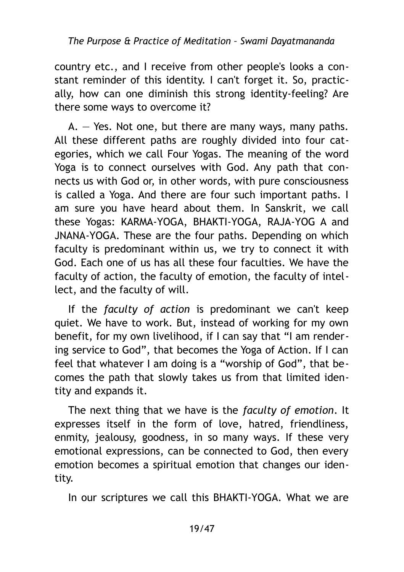country etc., and I receive from other people's looks a constant reminder of this identity. I can't forget it. So, practically, how can one diminish this strong identity-feeling? Are there some ways to overcome it?

 $A. - Yes.$  Not one, but there are many ways, many paths. All these different paths are roughly divided into four categories, which we call Four Yogas. The meaning of the word Yoga is to connect ourselves with God. Any path that connects us with God or, in other words, with pure consciousness is called a Yoga. And there are four such important paths. I am sure you have heard about them. In Sanskrit, we call these Yogas: KARMA-YOGA, BHAKTI-YOGA, RAJA-YOG A and JNANA-YOGA. These are the four paths. Depending on which faculty is predominant within us, we try to connect it with God. Each one of us has all these four faculties. We have the faculty of action, the faculty of emotion, the faculty of intellect, and the faculty of will.

If the *faculty of action* is predominant we can't keep quiet. We have to work. But, instead of working for my own benefit, for my own livelihood, if I can say that "I am rendering service to God", that becomes the Yoga of Action. If I can feel that whatever I am doing is a "worship of God", that becomes the path that slowly takes us from that limited identity and expands it.

The next thing that we have is the *faculty of emotion*. It expresses itself in the form of love, hatred, friendliness, enmity, jealousy, goodness, in so many ways. If these very emotional expressions, can be connected to God, then every emotion becomes a spiritual emotion that changes our identity.

In our scriptures we call this BHAKTI-YOGA. What we are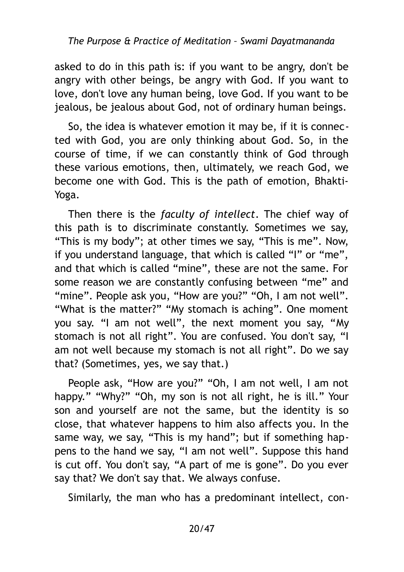asked to do in this path is: if you want to be angry, don't be angry with other beings, be angry with God. If you want to love, don't love any human being, love God. If you want to be jealous, be jealous about God, not of ordinary human beings.

So, the idea is whatever emotion it may be, if it is connected with God, you are only thinking about God. So, in the course of time, if we can constantly think of God through these various emotions, then, ultimately, we reach God, we become one with God. This is the path of emotion, Bhakti-Yoga.

Then there is the *faculty of intellect*. The chief way of this path is to discriminate constantly. Sometimes we say, "This is my body"; at other times we say, "This is me". Now, if you understand language, that which is called "I" or "me", and that which is called "mine", these are not the same. For some reason we are constantly confusing between "me" and "mine". People ask you, "How are you?" "Oh, I am not well". "What is the matter?" "My stomach is aching". One moment you say. "I am not well", the next moment you say, "My stomach is not all right". You are confused. You don't say, "I am not well because my stomach is not all right". Do we say that? (Sometimes, yes, we say that.)

People ask, "How are you?" "Oh, I am not well, I am not happy." "Why?" "Oh, my son is not all right, he is ill." Your son and yourself are not the same, but the identity is so close, that whatever happens to him also affects you. In the same way, we say, "This is my hand"; but if something happens to the hand we say, "I am not well". Suppose this hand is cut off. You don't say, "A part of me is gone". Do you ever say that? We don't say that. We always confuse.

Similarly, the man who has a predominant intellect, con-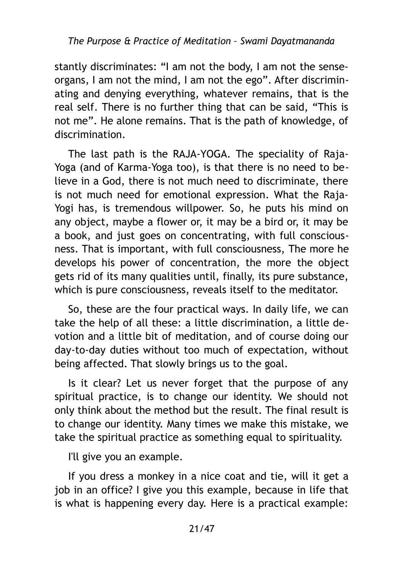stantly discriminates: "I am not the body, I am not the senseorgans, I am not the mind, I am not the ego". After discriminating and denying everything, whatever remains, that is the real self. There is no further thing that can be said, "This is not me". He alone remains. That is the path of knowledge, of discrimination.

The last path is the RAJA-YOGA. The speciality of Raja-Yoga (and of Karma-Yoga too), is that there is no need to believe in a God, there is not much need to discriminate, there is not much need for emotional expression. What the Raja-Yogi has, is tremendous willpower. So, he puts his mind on any object, maybe a flower or, it may be a bird or, it may be a book, and just goes on concentrating, with full consciousness. That is important, with full consciousness, The more he develops his power of concentration, the more the object gets rid of its many qualities until, finally, its pure substance, which is pure consciousness, reveals itself to the meditator.

So, these are the four practical ways. In daily life, we can take the help of all these: a little discrimination, a little devotion and a little bit of meditation, and of course doing our day-to-day duties without too much of expectation, without being affected. That slowly brings us to the goal.

Is it clear? Let us never forget that the purpose of any spiritual practice, is to change our identity. We should not only think about the method but the result. The final result is to change our identity. Many times we make this mistake, we take the spiritual practice as something equal to spirituality.

I'll give you an example.

If you dress a monkey in a nice coat and tie, will it get a job in an office? I give you this example, because in life that is what is happening every day. Here is a practical example: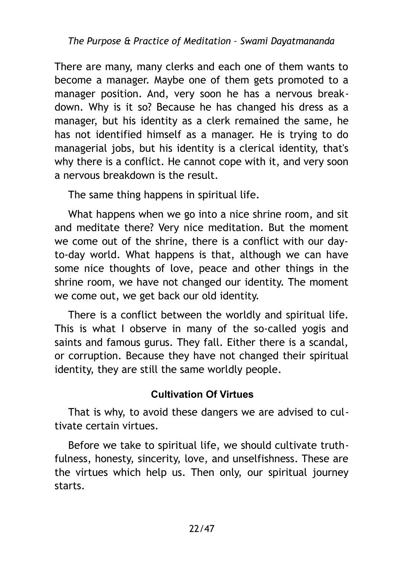There are many, many clerks and each one of them wants to become a manager. Maybe one of them gets promoted to a manager position. And, very soon he has a nervous breakdown. Why is it so? Because he has changed his dress as a manager, but his identity as a clerk remained the same, he has not identified himself as a manager. He is trying to do managerial jobs, but his identity is a clerical identity, that's why there is a conflict. He cannot cope with it, and very soon a nervous breakdown is the result.

The same thing happens in spiritual life.

What happens when we go into a nice shrine room, and sit and meditate there? Very nice meditation. But the moment we come out of the shrine, there is a conflict with our dayto-day world. What happens is that, although we can have some nice thoughts of love, peace and other things in the shrine room, we have not changed our identity. The moment we come out, we get back our old identity.

There is a conflict between the worldly and spiritual life. This is what I observe in many of the so-called yogis and saints and famous gurus. They fall. Either there is a scandal, or corruption. Because they have not changed their spiritual identity, they are still the same worldly people.

# <span id="page-21-0"></span>**Cultivation Of Virtues**

That is why, to avoid these dangers we are advised to cultivate certain virtues.

Before we take to spiritual life, we should cultivate truthfulness, honesty, sincerity, love, and unselfishness. These are the virtues which help us. Then only, our spiritual journey starts.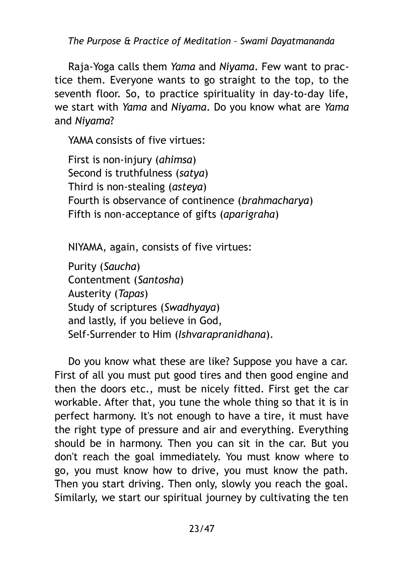Raja-Yoga calls them *Yama* and *Niyama*. Few want to practice them. Everyone wants to go straight to the top, to the seventh floor. So, to practice spirituality in day-to-day life, we start with *Yama* and *Niyama*. Do you know what are *Yama* and *Niyama*?

YAMA consists of five virtues:

First is non-injury (*ahimsa*) Second is truthfulness (*satya*) Third is non-stealing (*asteya*) Fourth is observance of continence (*brahmacharya*) Fifth is non-acceptance of gifts (*aparigraha*)

NIYAMA, again, consists of five virtues:

Purity (*Saucha*) Contentment (*Santosha*) Austerity (*Tapas*) Study of scriptures (*Swadhyaya*) and lastly, if you believe in God, Self-Surrender to Him (*Ishvarapranidhana*).

Do you know what these are like? Suppose you have a car. First of all you must put good tires and then good engine and then the doors etc., must be nicely fitted. First get the car workable. After that, you tune the whole thing so that it is in perfect harmony. It's not enough to have a tire, it must have the right type of pressure and air and everything. Everything should be in harmony. Then you can sit in the car. But you don't reach the goal immediately. You must know where to go, you must know how to drive, you must know the path. Then you start driving. Then only, slowly you reach the goal. Similarly, we start our spiritual journey by cultivating the ten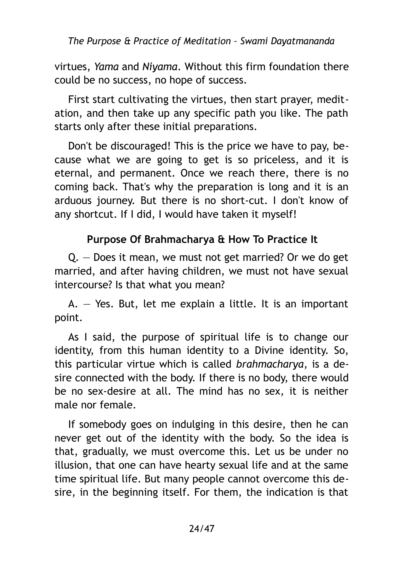virtues, *Yama* and *Niyama*. Without this firm foundation there could be no success, no hope of success.

First start cultivating the virtues, then start prayer, meditation, and then take up any specific path you like. The path starts only after these initial preparations.

Don't be discouraged! This is the price we have to pay, because what we are going to get is so priceless, and it is eternal, and permanent. Once we reach there, there is no coming back. That's why the preparation is long and it is an arduous journey. But there is no short-cut. I don't know of any shortcut. If I did, I would have taken it myself!

# <span id="page-23-0"></span>**Purpose Of Brahmacharya & How To Practice It**

Q. — Does it mean, we must not get married? Or we do get married, and after having children, we must not have sexual intercourse? Is that what you mean?

A. — Yes. But, let me explain a little. It is an important point.

As I said, the purpose of spiritual life is to change our identity, from this human identity to a Divine identity. So, this particular virtue which is called *brahmacharya*, is a desire connected with the body. If there is no body, there would be no sex-desire at all. The mind has no sex, it is neither male nor female.

If somebody goes on indulging in this desire, then he can never get out of the identity with the body. So the idea is that, gradually, we must overcome this. Let us be under no illusion, that one can have hearty sexual life and at the same time spiritual life. But many people cannot overcome this desire, in the beginning itself. For them, the indication is that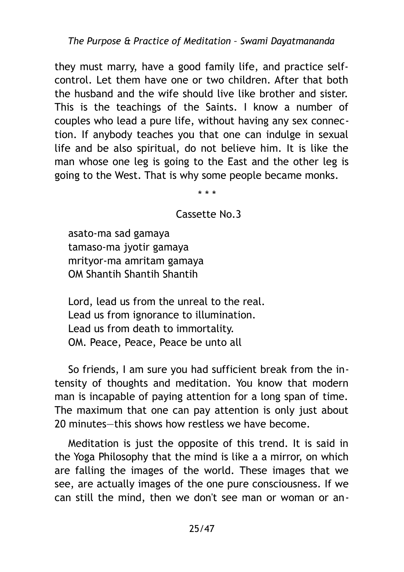they must marry, have a good family life, and practice selfcontrol. Let them have one or two children. After that both the husband and the wife should live like brother and sister. This is the teachings of the Saints. I know a number of couples who lead a pure life, without having any sex connection. If anybody teaches you that one can indulge in sexual life and be also spiritual, do not believe him. It is like the man whose one leg is going to the East and the other leg is going to the West. That is why some people became monks.

\* \* \*

#### Cassette No.3

asato-ma sad gamaya tamaso-ma jyotir gamaya mrityor-ma amritam gamaya OM Shantih Shantih Shantih

Lord, lead us from the unreal to the real. Lead us from ignorance to illumination. Lead us from death to immortality. OM. Peace, Peace, Peace be unto all

So friends, I am sure you had sufficient break from the intensity of thoughts and meditation. You know that modern man is incapable of paying attention for a long span of time. The maximum that one can pay attention is only just about 20 minutes—this shows how restless we have become.

Meditation is just the opposite of this trend. It is said in the Yoga Philosophy that the mind is like a a mirror, on which are falling the images of the world. These images that we see, are actually images of the one pure consciousness. If we can still the mind, then we don't see man or woman or an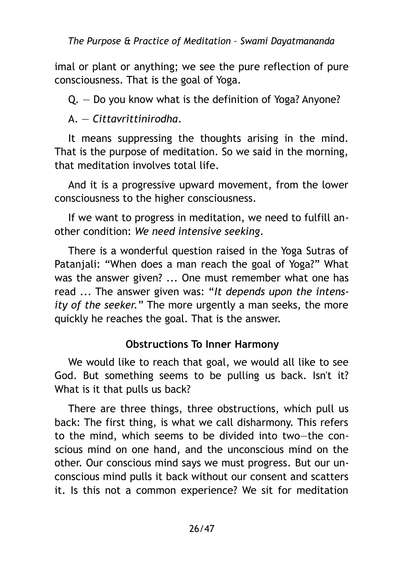imal or plant or anything; we see the pure reflection of pure consciousness. That is the goal of Yoga.

Q. — Do you know what is the definition of Yoga? Anyone?

A. — *Cittavrittinirodha*.

It means suppressing the thoughts arising in the mind. That is the purpose of meditation. So we said in the morning, that meditation involves total life.

And it is a progressive upward movement, from the lower consciousness to the higher consciousness.

If we want to progress in meditation, we need to fulfill another condition: *We need intensive seeking*.

There is a wonderful question raised in the Yoga Sutras of Patanjali: "When does a man reach the goal of Yoga?" What was the answer given? ... One must remember what one has read ... The answer given was: "*It depends upon the intensity of the seeker.*" The more urgently a man seeks, the more quickly he reaches the goal. That is the answer.

#### <span id="page-25-0"></span>**Obstructions To Inner Harmony**

We would like to reach that goal, we would all like to see God. But something seems to be pulling us back. Isn't it? What is it that pulls us back?

There are three things, three obstructions, which pull us back: The first thing, is what we call disharmony. This refers to the mind, which seems to be divided into two—the conscious mind on one hand, and the unconscious mind on the other. Our conscious mind says we must progress. But our unconscious mind pulls it back without our consent and scatters it. Is this not a common experience? We sit for meditation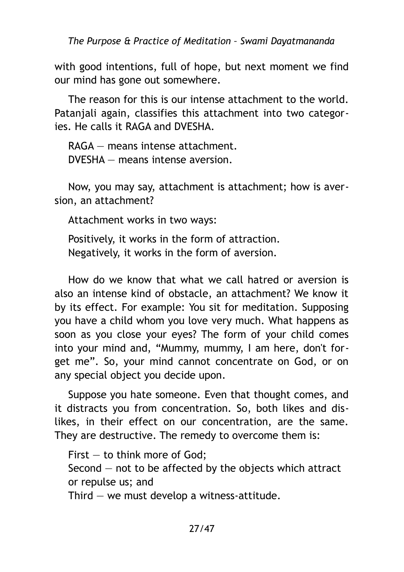with good intentions, full of hope, but next moment we find our mind has gone out somewhere.

The reason for this is our intense attachment to the world. Patanjali again, classifies this attachment into two categories. He calls it RAGA and DVESHA.

RAGA — means intense attachment. DVESHA — means intense aversion.

Now, you may say, attachment is attachment; how is aversion, an attachment?

Attachment works in two ways:

Positively, it works in the form of attraction. Negatively, it works in the form of aversion.

How do we know that what we call hatred or aversion is also an intense kind of obstacle, an attachment? We know it by its effect. For example: You sit for meditation. Supposing you have a child whom you love very much. What happens as soon as you close your eyes? The form of your child comes into your mind and, "Mummy, mummy, I am here, don't forget me". So, your mind cannot concentrate on God, or on any special object you decide upon.

Suppose you hate someone. Even that thought comes, and it distracts you from concentration. So, both likes and dislikes, in their effect on our concentration, are the same. They are destructive. The remedy to overcome them is:

First — to think more of God;

Second — not to be affected by the objects which attract or repulse us; and

Third  $-$  we must develop a witness-attitude.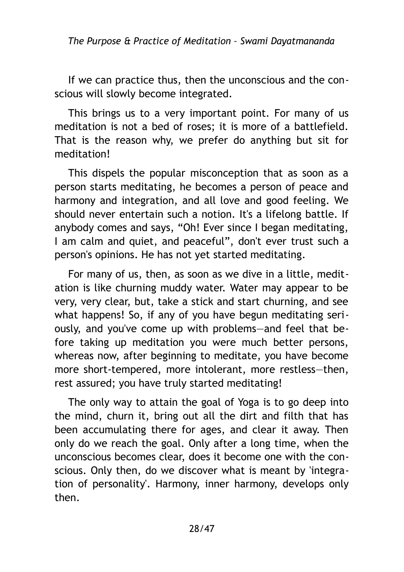If we can practice thus, then the unconscious and the conscious will slowly become integrated.

This brings us to a very important point. For many of us meditation is not a bed of roses; it is more of a battlefield. That is the reason why, we prefer do anything but sit for meditation!

This dispels the popular misconception that as soon as a person starts meditating, he becomes a person of peace and harmony and integration, and all love and good feeling. We should never entertain such a notion. It's a lifelong battle. If anybody comes and says, "Oh! Ever since I began meditating, I am calm and quiet, and peaceful", don't ever trust such a person's opinions. He has not yet started meditating.

For many of us, then, as soon as we dive in a little, meditation is like churning muddy water. Water may appear to be very, very clear, but, take a stick and start churning, and see what happens! So, if any of you have begun meditating seriously, and you've come up with problems—and feel that before taking up meditation you were much better persons, whereas now, after beginning to meditate, you have become more short-tempered, more intolerant, more restless—then, rest assured; you have truly started meditating!

The only way to attain the goal of Yoga is to go deep into the mind, churn it, bring out all the dirt and filth that has been accumulating there for ages, and clear it away. Then only do we reach the goal. Only after a long time, when the unconscious becomes clear, does it become one with the conscious. Only then, do we discover what is meant by 'integration of personality'. Harmony, inner harmony, develops only then.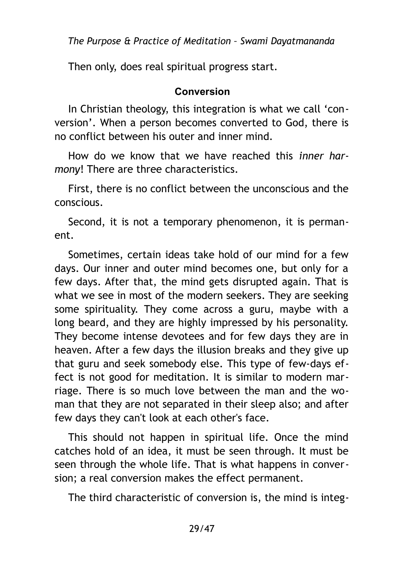Then only, does real spiritual progress start.

#### <span id="page-28-0"></span>**Conversion**

In Christian theology, this integration is what we call 'conversion'. When a person becomes converted to God, there is no conflict between his outer and inner mind.

How do we know that we have reached this *inner harmony*! There are three characteristics.

First, there is no conflict between the unconscious and the conscious.

Second, it is not a temporary phenomenon, it is permanent.

Sometimes, certain ideas take hold of our mind for a few days. Our inner and outer mind becomes one, but only for a few days. After that, the mind gets disrupted again. That is what we see in most of the modern seekers. They are seeking some spirituality. They come across a guru, maybe with a long beard, and they are highly impressed by his personality. They become intense devotees and for few days they are in heaven. After a few days the illusion breaks and they give up that guru and seek somebody else. This type of few-days effect is not good for meditation. It is similar to modern marriage. There is so much love between the man and the woman that they are not separated in their sleep also; and after few days they can't look at each other's face.

This should not happen in spiritual life. Once the mind catches hold of an idea, it must be seen through. It must be seen through the whole life. That is what happens in conversion; a real conversion makes the effect permanent.

The third characteristic of conversion is, the mind is integ-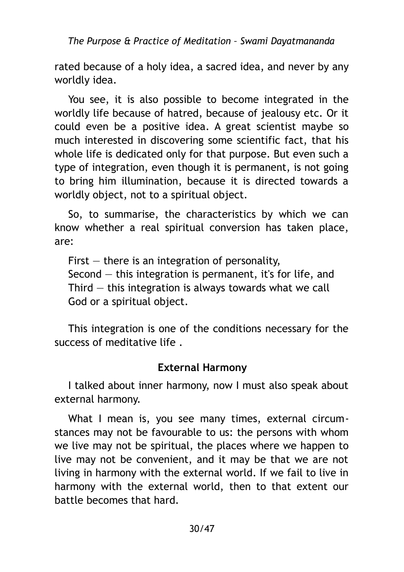rated because of a holy idea, a sacred idea, and never by any worldly idea.

You see, it is also possible to become integrated in the worldly life because of hatred, because of jealousy etc. Or it could even be a positive idea. A great scientist maybe so much interested in discovering some scientific fact, that his whole life is dedicated only for that purpose. But even such a type of integration, even though it is permanent, is not going to bring him illumination, because it is directed towards a worldly object, not to a spiritual object.

So, to summarise, the characteristics by which we can know whether a real spiritual conversion has taken place, are:

First  $-$  there is an integration of personality, Second — this integration is permanent, it's for life, and Third  $-$  this integration is always towards what we call God or a spiritual object.

This integration is one of the conditions necessary for the success of meditative life .

#### <span id="page-29-0"></span>**External Harmony**

I talked about inner harmony, now I must also speak about external harmony.

What I mean is, you see many times, external circumstances may not be favourable to us: the persons with whom we live may not be spiritual, the places where we happen to live may not be convenient, and it may be that we are not living in harmony with the external world. If we fail to live in harmony with the external world, then to that extent our battle becomes that hard.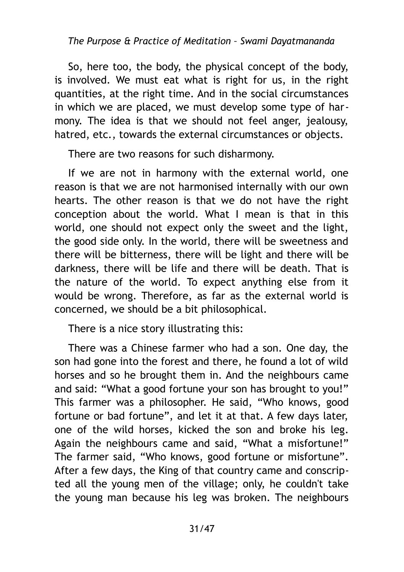So, here too, the body, the physical concept of the body, is involved. We must eat what is right for us, in the right quantities, at the right time. And in the social circumstances in which we are placed, we must develop some type of harmony. The idea is that we should not feel anger, jealousy, hatred, etc., towards the external circumstances or objects.

There are two reasons for such disharmony.

If we are not in harmony with the external world, one reason is that we are not harmonised internally with our own hearts. The other reason is that we do not have the right conception about the world. What I mean is that in this world, one should not expect only the sweet and the light, the good side only. In the world, there will be sweetness and there will be bitterness, there will be light and there will be darkness, there will be life and there will be death. That is the nature of the world. To expect anything else from it would be wrong. Therefore, as far as the external world is concerned, we should be a bit philosophical.

There is a nice story illustrating this:

There was a Chinese farmer who had a son. One day, the son had gone into the forest and there, he found a lot of wild horses and so he brought them in. And the neighbours came and said: "What a good fortune your son has brought to you!" This farmer was a philosopher. He said, "Who knows, good fortune or bad fortune", and let it at that. A few days later, one of the wild horses, kicked the son and broke his leg. Again the neighbours came and said, "What a misfortune!" The farmer said, "Who knows, good fortune or misfortune". After a few days, the King of that country came and conscripted all the young men of the village; only, he couldn't take the young man because his leg was broken. The neighbours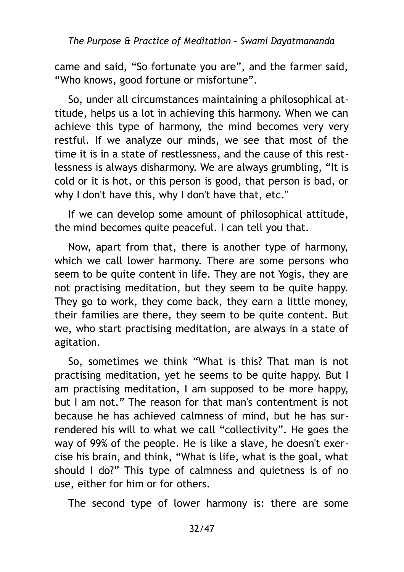came and said, "So fortunate you are", and the farmer said, "Who knows, good fortune or misfortune".

So, under all circumstances maintaining a philosophical attitude, helps us a lot in achieving this harmony. When we can achieve this type of harmony, the mind becomes very very restful. If we analyze our minds, we see that most of the time it is in a state of restlessness, and the cause of this restlessness is always disharmony. We are always grumbling, "It is cold or it is hot, or this person is good, that person is bad, or why I don't have this, why I don't have that, etc."

If we can develop some amount of philosophical attitude, the mind becomes quite peaceful. I can tell you that.

Now, apart from that, there is another type of harmony, which we call lower harmony. There are some persons who seem to be quite content in life. They are not Yogis, they are not practising meditation, but they seem to be quite happy. They go to work, they come back, they earn a little money, their families are there, they seem to be quite content. But we, who start practising meditation, are always in a state of agitation.

So, sometimes we think "What is this? That man is not practising meditation, yet he seems to be quite happy. But I am practising meditation, I am supposed to be more happy, but I am not." The reason for that man's contentment is not because he has achieved calmness of mind, but he has surrendered his will to what we call "collectivity". He goes the way of 99% of the people. He is like a slave, he doesn't exercise his brain, and think, "What is life, what is the goal, what should I do?" This type of calmness and quietness is of no use, either for him or for others.

The second type of lower harmony is: there are some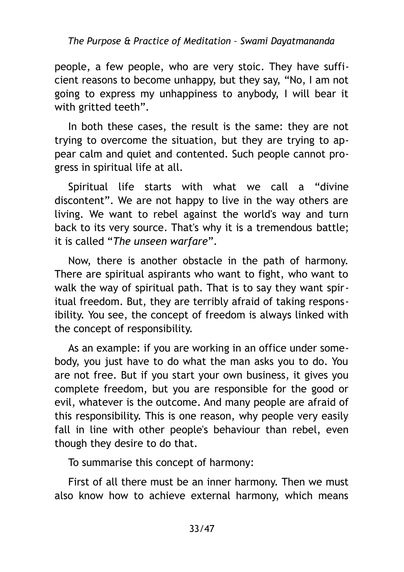people, a few people, who are very stoic. They have sufficient reasons to become unhappy, but they say, "No, I am not going to express my unhappiness to anybody, I will bear it with gritted teeth".

In both these cases, the result is the same: they are not trying to overcome the situation, but they are trying to appear calm and quiet and contented. Such people cannot progress in spiritual life at all.

Spiritual life starts with what we call a "divine discontent". We are not happy to live in the way others are living. We want to rebel against the world's way and turn back to its very source. That's why it is a tremendous battle; it is called "*The unseen warfare*".

Now, there is another obstacle in the path of harmony. There are spiritual aspirants who want to fight, who want to walk the way of spiritual path. That is to say they want spiritual freedom. But, they are terribly afraid of taking responsibility. You see, the concept of freedom is always linked with the concept of responsibility.

As an example: if you are working in an office under somebody, you just have to do what the man asks you to do. You are not free. But if you start your own business, it gives you complete freedom, but you are responsible for the good or evil, whatever is the outcome. And many people are afraid of this responsibility. This is one reason, why people very easily fall in line with other people's behaviour than rebel, even though they desire to do that.

To summarise this concept of harmony:

First of all there must be an inner harmony. Then we must also know how to achieve external harmony, which means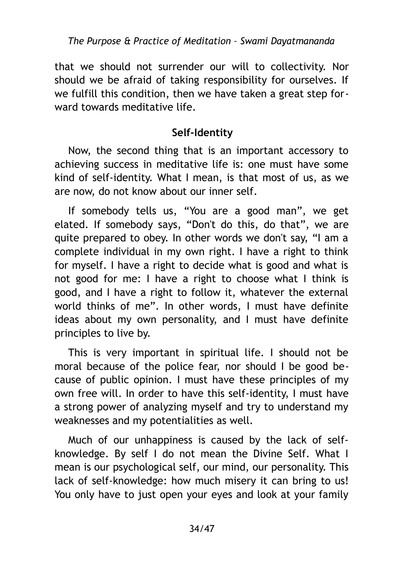that we should not surrender our will to collectivity. Nor should we be afraid of taking responsibility for ourselves. If we fulfill this condition, then we have taken a great step forward towards meditative life.

#### <span id="page-33-0"></span>**Self-Identity**

Now, the second thing that is an important accessory to achieving success in meditative life is: one must have some kind of self-identity. What I mean, is that most of us, as we are now, do not know about our inner self.

If somebody tells us, "You are a good man", we get elated. If somebody says, "Don't do this, do that", we are quite prepared to obey. In other words we don't say, "I am a complete individual in my own right. I have a right to think for myself. I have a right to decide what is good and what is not good for me: I have a right to choose what I think is good, and I have a right to follow it, whatever the external world thinks of me". In other words, I must have definite ideas about my own personality, and I must have definite principles to live by.

This is very important in spiritual life. I should not be moral because of the police fear, nor should I be good because of public opinion. I must have these principles of my own free will. In order to have this self-identity, I must have a strong power of analyzing myself and try to understand my weaknesses and my potentialities as well.

Much of our unhappiness is caused by the lack of selfknowledge. By self I do not mean the Divine Self. What I mean is our psychological self, our mind, our personality. This lack of self-knowledge: how much misery it can bring to us! You only have to just open your eyes and look at your family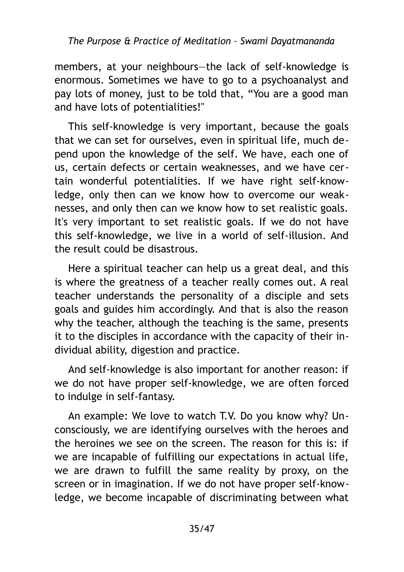members, at your neighbours—the lack of self-knowledge is enormous. Sometimes we have to go to a psychoanalyst and pay lots of money, just to be told that, "You are a good man and have lots of potentialities!"

This self-knowledge is very important, because the goals that we can set for ourselves, even in spiritual life, much depend upon the knowledge of the self. We have, each one of us, certain defects or certain weaknesses, and we have certain wonderful potentialities. If we have right self-knowledge, only then can we know how to overcome our weaknesses, and only then can we know how to set realistic goals. It's very important to set realistic goals. If we do not have this self-knowledge, we live in a world of self-illusion. And the result could be disastrous.

Here a spiritual teacher can help us a great deal, and this is where the greatness of a teacher really comes out. A real teacher understands the personality of a disciple and sets goals and guides him accordingly. And that is also the reason why the teacher, although the teaching is the same, presents it to the disciples in accordance with the capacity of their individual ability, digestion and practice.

And self-knowledge is also important for another reason: if we do not have proper self-knowledge, we are often forced to indulge in self-fantasy.

An example: We love to watch T.V. Do you know why? Unconsciously, we are identifying ourselves with the heroes and the heroines we see on the screen. The reason for this is: if we are incapable of fulfilling our expectations in actual life, we are drawn to fulfill the same reality by proxy, on the screen or in imagination. If we do not have proper self-knowledge, we become incapable of discriminating between what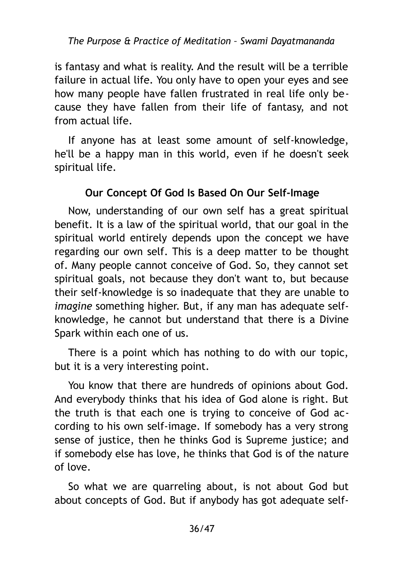is fantasy and what is reality. And the result will be a terrible failure in actual life. You only have to open your eyes and see how many people have fallen frustrated in real life only because they have fallen from their life of fantasy, and not from actual life.

If anyone has at least some amount of self-knowledge, he'll be a happy man in this world, even if he doesn't seek spiritual life.

# <span id="page-35-0"></span>**Our Concept Of God Is Based On Our Self-Image**

Now, understanding of our own self has a great spiritual benefit. It is a law of the spiritual world, that our goal in the spiritual world entirely depends upon the concept we have regarding our own self. This is a deep matter to be thought of. Many people cannot conceive of God. So, they cannot set spiritual goals, not because they don't want to, but because their self-knowledge is so inadequate that they are unable to *imagine* something higher. But, if any man has adequate selfknowledge, he cannot but understand that there is a Divine Spark within each one of us.

There is a point which has nothing to do with our topic, but it is a very interesting point.

You know that there are hundreds of opinions about God. And everybody thinks that his idea of God alone is right. But the truth is that each one is trying to conceive of God according to his own self-image. If somebody has a very strong sense of justice, then he thinks God is Supreme justice; and if somebody else has love, he thinks that God is of the nature of love.

So what we are quarreling about, is not about God but about concepts of God. But if anybody has got adequate self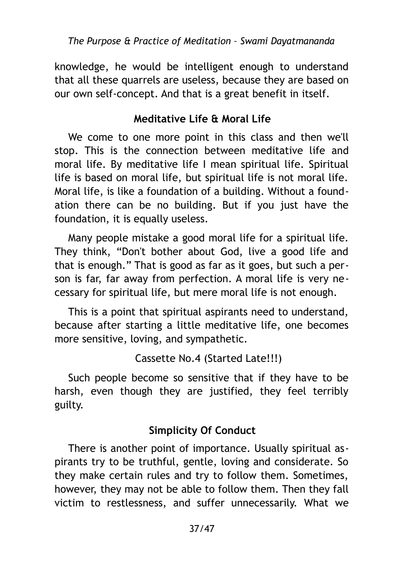knowledge, he would be intelligent enough to understand that all these quarrels are useless, because they are based on our own self-concept. And that is a great benefit in itself.

# <span id="page-36-1"></span>**Meditative Life & Moral Life**

We come to one more point in this class and then we'll stop. This is the connection between meditative life and moral life. By meditative life I mean spiritual life. Spiritual life is based on moral life, but spiritual life is not moral life. Moral life, is like a foundation of a building. Without a foundation there can be no building. But if you just have the foundation, it is equally useless.

Many people mistake a good moral life for a spiritual life. They think, "Don't bother about God, live a good life and that is enough." That is good as far as it goes, but such a person is far, far away from perfection. A moral life is very necessary for spiritual life, but mere moral life is not enough.

This is a point that spiritual aspirants need to understand, because after starting a little meditative life, one becomes more sensitive, loving, and sympathetic.

Cassette No.4 (Started Late!!!)

Such people become so sensitive that if they have to be harsh, even though they are justified, they feel terribly guilty.

# <span id="page-36-0"></span>**Simplicity Of Conduct**

There is another point of importance. Usually spiritual aspirants try to be truthful, gentle, loving and considerate. So they make certain rules and try to follow them. Sometimes, however, they may not be able to follow them. Then they fall victim to restlessness, and suffer unnecessarily. What we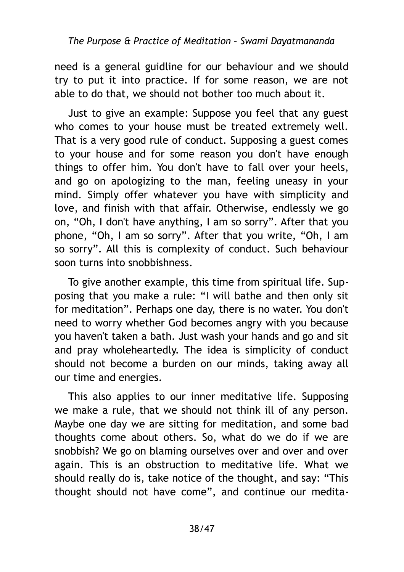need is a general guidline for our behaviour and we should try to put it into practice. If for some reason, we are not able to do that, we should not bother too much about it.

Just to give an example: Suppose you feel that any guest who comes to your house must be treated extremely well. That is a very good rule of conduct. Supposing a guest comes to your house and for some reason you don't have enough things to offer him. You don't have to fall over your heels, and go on apologizing to the man, feeling uneasy in your mind. Simply offer whatever you have with simplicity and love, and finish with that affair. Otherwise, endlessly we go on, "Oh, I don't have anything, I am so sorry". After that you phone, "Oh, I am so sorry". After that you write, "Oh, I am so sorry". All this is complexity of conduct. Such behaviour soon turns into snobbishness.

To give another example, this time from spiritual life. Supposing that you make a rule: "I will bathe and then only sit for meditation". Perhaps one day, there is no water. You don't need to worry whether God becomes angry with you because you haven't taken a bath. Just wash your hands and go and sit and pray wholeheartedly. The idea is simplicity of conduct should not become a burden on our minds, taking away all our time and energies.

This also applies to our inner meditative life. Supposing we make a rule, that we should not think ill of any person. Maybe one day we are sitting for meditation, and some bad thoughts come about others. So, what do we do if we are snobbish? We go on blaming ourselves over and over and over again. This is an obstruction to meditative life. What we should really do is, take notice of the thought, and say: "This thought should not have come", and continue our medita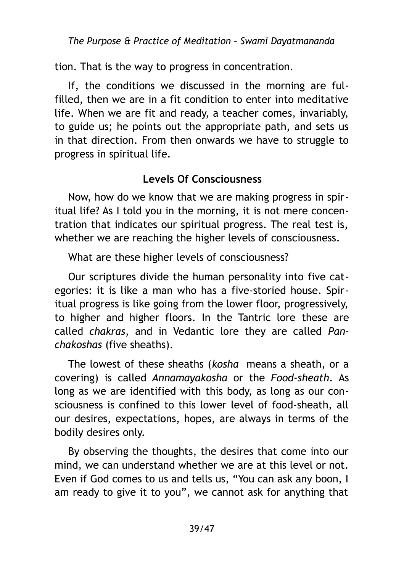tion. That is the way to progress in concentration.

If, the conditions we discussed in the morning are fulfilled, then we are in a fit condition to enter into meditative life. When we are fit and ready, a teacher comes, invariably, to guide us; he points out the appropriate path, and sets us in that direction. From then onwards we have to struggle to progress in spiritual life.

# <span id="page-38-0"></span>**Levels Of Consciousness**

Now, how do we know that we are making progress in spiritual life? As I told you in the morning, it is not mere concentration that indicates our spiritual progress. The real test is, whether we are reaching the higher levels of consciousness.

What are these higher levels of consciousness?

Our scriptures divide the human personality into five categories: it is like a man who has a five-storied house. Spiritual progress is like going from the lower floor, progressively, to higher and higher floors. In the Tantric lore these are called *chakras*, and in Vedantic lore they are called *Panchakoshas* (five sheaths).

The lowest of these sheaths (*kosha* means a sheath, or a covering) is called *Annamayakosha* or the *Food-sheath*. As long as we are identified with this body, as long as our consciousness is confined to this lower level of food-sheath, all our desires, expectations, hopes, are always in terms of the bodily desires only.

By observing the thoughts, the desires that come into our mind, we can understand whether we are at this level or not. Even if God comes to us and tells us, "You can ask any boon, I am ready to give it to you", we cannot ask for anything that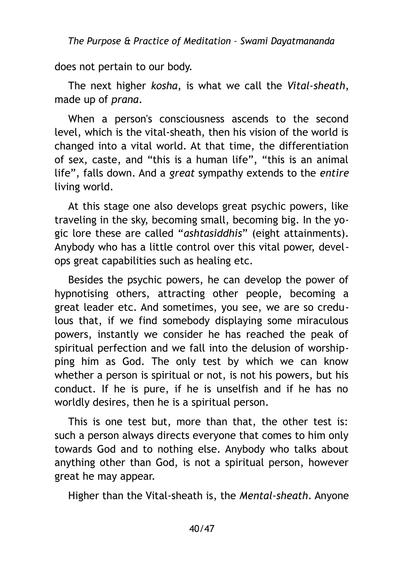does not pertain to our body.

The next higher *kosha*, is what we call the *Vital-sheath*, made up of *prana*.

When a person's consciousness ascends to the second level, which is the vital-sheath, then his vision of the world is changed into a vital world. At that time, the differentiation of sex, caste, and "this is a human life", "this is an animal life", falls down. And a *great* sympathy extends to the *entire* living world.

At this stage one also develops great psychic powers, like traveling in the sky, becoming small, becoming big. In the yogic lore these are called "*ashtasiddhis*" (eight attainments). Anybody who has a little control over this vital power, develops great capabilities such as healing etc.

Besides the psychic powers, he can develop the power of hypnotising others, attracting other people, becoming a great leader etc. And sometimes, you see, we are so credulous that, if we find somebody displaying some miraculous powers, instantly we consider he has reached the peak of spiritual perfection and we fall into the delusion of worshipping him as God. The only test by which we can know whether a person is spiritual or not, is not his powers, but his conduct. If he is pure, if he is unselfish and if he has no worldly desires, then he is a spiritual person.

This is one test but, more than that, the other test is: such a person always directs everyone that comes to him only towards God and to nothing else. Anybody who talks about anything other than God, is not a spiritual person, however great he may appear.

Higher than the Vital-sheath is, the *Mental-sheath*. Anyone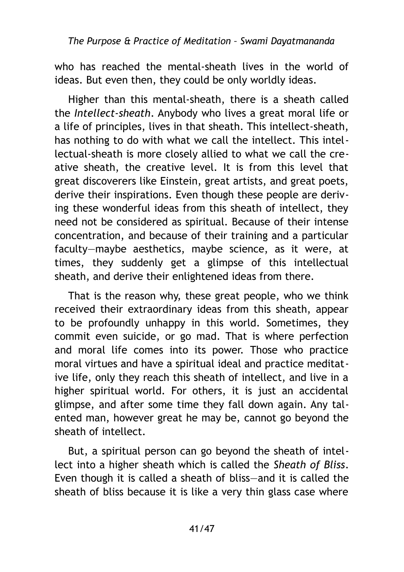who has reached the mental-sheath lives in the world of ideas. But even then, they could be only worldly ideas.

Higher than this mental-sheath, there is a sheath called the *Intellect-sheath*. Anybody who lives a great moral life or a life of principles, lives in that sheath. This intellect-sheath, has nothing to do with what we call the intellect. This intellectual-sheath is more closely allied to what we call the creative sheath, the creative level. It is from this level that great discoverers like Einstein, great artists, and great poets, derive their inspirations. Even though these people are deriving these wonderful ideas from this sheath of intellect, they need not be considered as spiritual. Because of their intense concentration, and because of their training and a particular faculty—maybe aesthetics, maybe science, as it were, at times, they suddenly get a glimpse of this intellectual sheath, and derive their enlightened ideas from there.

That is the reason why, these great people, who we think received their extraordinary ideas from this sheath, appear to be profoundly unhappy in this world. Sometimes, they commit even suicide, or go mad. That is where perfection and moral life comes into its power. Those who practice moral virtues and have a spiritual ideal and practice meditative life, only they reach this sheath of intellect, and live in a higher spiritual world. For others, it is just an accidental glimpse, and after some time they fall down again. Any talented man, however great he may be, cannot go beyond the sheath of intellect.

But, a spiritual person can go beyond the sheath of intellect into a higher sheath which is called the *Sheath of Bliss*. Even though it is called a sheath of bliss—and it is called the sheath of bliss because it is like a very thin glass case where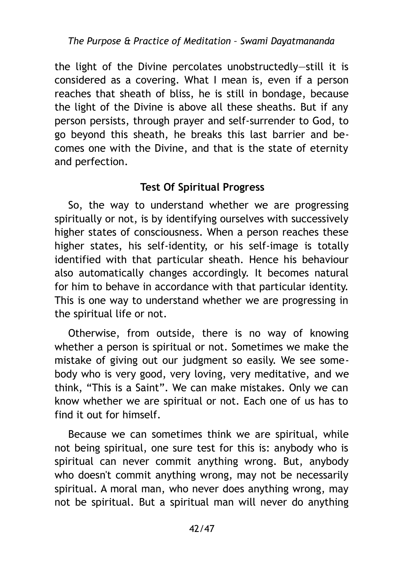the light of the Divine percolates unobstructedly—still it is considered as a covering. What I mean is, even if a person reaches that sheath of bliss, he is still in bondage, because the light of the Divine is above all these sheaths. But if any person persists, through prayer and self-surrender to God, to go beyond this sheath, he breaks this last barrier and becomes one with the Divine, and that is the state of eternity and perfection.

# <span id="page-41-0"></span>**Test Of Spiritual Progress**

So, the way to understand whether we are progressing spiritually or not, is by identifying ourselves with successively higher states of consciousness. When a person reaches these higher states, his self-identity, or his self-image is totally identified with that particular sheath. Hence his behaviour also automatically changes accordingly. It becomes natural for him to behave in accordance with that particular identity. This is one way to understand whether we are progressing in the spiritual life or not.

Otherwise, from outside, there is no way of knowing whether a person is spiritual or not. Sometimes we make the mistake of giving out our judgment so easily. We see somebody who is very good, very loving, very meditative, and we think, "This is a Saint". We can make mistakes. Only we can know whether we are spiritual or not. Each one of us has to find it out for himself.

Because we can sometimes think we are spiritual, while not being spiritual, one sure test for this is: anybody who is spiritual can never commit anything wrong. But, anybody who doesn't commit anything wrong, may not be necessarily spiritual. A moral man, who never does anything wrong, may not be spiritual. But a spiritual man will never do anything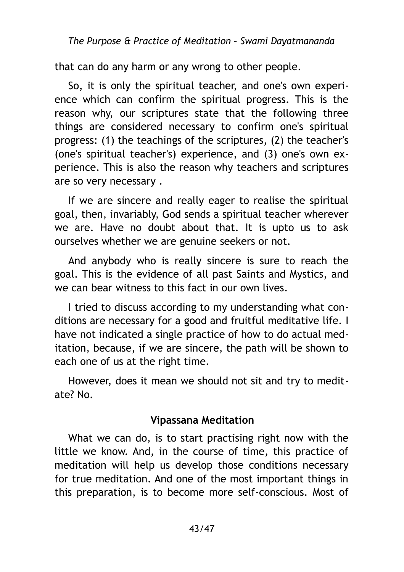that can do any harm or any wrong to other people.

So, it is only the spiritual teacher, and one's own experience which can confirm the spiritual progress. This is the reason why, our scriptures state that the following three things are considered necessary to confirm one's spiritual progress: (1) the teachings of the scriptures, (2) the teacher's (one's spiritual teacher's) experience, and (3) one's own experience. This is also the reason why teachers and scriptures are so very necessary .

If we are sincere and really eager to realise the spiritual goal, then, invariably, God sends a spiritual teacher wherever we are. Have no doubt about that. It is upto us to ask ourselves whether we are genuine seekers or not.

And anybody who is really sincere is sure to reach the goal. This is the evidence of all past Saints and Mystics, and we can bear witness to this fact in our own lives.

I tried to discuss according to my understanding what conditions are necessary for a good and fruitful meditative life. I have not indicated a single practice of how to do actual meditation, because, if we are sincere, the path will be shown to each one of us at the right time.

However, does it mean we should not sit and try to meditate? No.

#### <span id="page-42-0"></span>**Vipassana Meditation**

What we can do, is to start practising right now with the little we know. And, in the course of time, this practice of meditation will help us develop those conditions necessary for true meditation. And one of the most important things in this preparation, is to become more self-conscious. Most of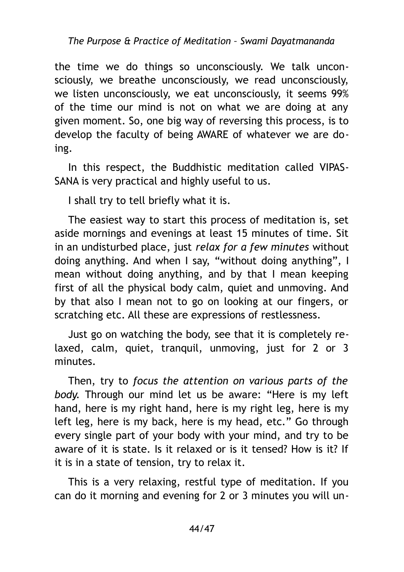the time we do things so unconsciously. We talk unconsciously, we breathe unconsciously, we read unconsciously, we listen unconsciously, we eat unconsciously, it seems 99% of the time our mind is not on what we are doing at any given moment. So, one big way of reversing this process, is to develop the faculty of being AWARE of whatever we are doing.

In this respect, the Buddhistic meditation called VIPAS-SANA is very practical and highly useful to us.

I shall try to tell briefly what it is.

The easiest way to start this process of meditation is, set aside mornings and evenings at least 15 minutes of time. Sit in an undisturbed place, just *relax for a few minutes* without doing anything. And when I say, "without doing anything", I mean without doing anything, and by that I mean keeping first of all the physical body calm, quiet and unmoving. And by that also I mean not to go on looking at our fingers, or scratching etc. All these are expressions of restlessness.

Just go on watching the body, see that it is completely relaxed, calm, quiet, tranquil, unmoving, just for 2 or 3 minutes.

Then, try to *focus the attention on various parts of the body*. Through our mind let us be aware: "Here is my left hand, here is my right hand, here is my right leg, here is my left leg, here is my back, here is my head, etc." Go through every single part of your body with your mind, and try to be aware of it is state. Is it relaxed or is it tensed? How is it? If it is in a state of tension, try to relax it.

This is a very relaxing, restful type of meditation. If you can do it morning and evening for 2 or 3 minutes you will un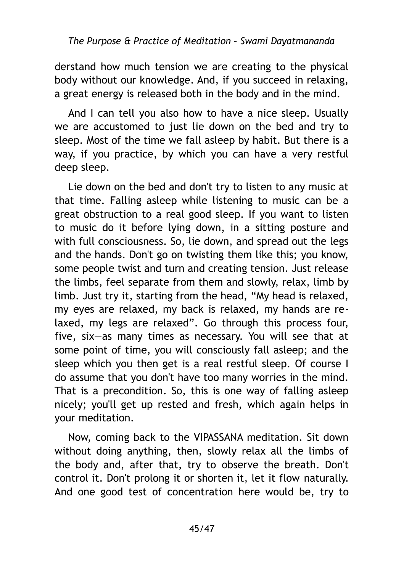derstand how much tension we are creating to the physical body without our knowledge. And, if you succeed in relaxing, a great energy is released both in the body and in the mind.

And I can tell you also how to have a nice sleep. Usually we are accustomed to just lie down on the bed and try to sleep. Most of the time we fall asleep by habit. But there is a way, if you practice, by which you can have a very restful deep sleep.

Lie down on the bed and don't try to listen to any music at that time. Falling asleep while listening to music can be a great obstruction to a real good sleep. If you want to listen to music do it before lying down, in a sitting posture and with full consciousness. So, lie down, and spread out the legs and the hands. Don't go on twisting them like this; you know, some people twist and turn and creating tension. Just release the limbs, feel separate from them and slowly, relax, limb by limb. Just try it, starting from the head, "My head is relaxed, my eyes are relaxed, my back is relaxed, my hands are relaxed, my legs are relaxed". Go through this process four, five, six—as many times as necessary. You will see that at some point of time, you will consciously fall asleep; and the sleep which you then get is a real restful sleep. Of course I do assume that you don't have too many worries in the mind. That is a precondition. So, this is one way of falling asleep nicely; you'll get up rested and fresh, which again helps in your meditation.

Now, coming back to the VIPASSANA meditation. Sit down without doing anything, then, slowly relax all the limbs of the body and, after that, try to observe the breath. Don't control it. Don't prolong it or shorten it, let it flow naturally. And one good test of concentration here would be, try to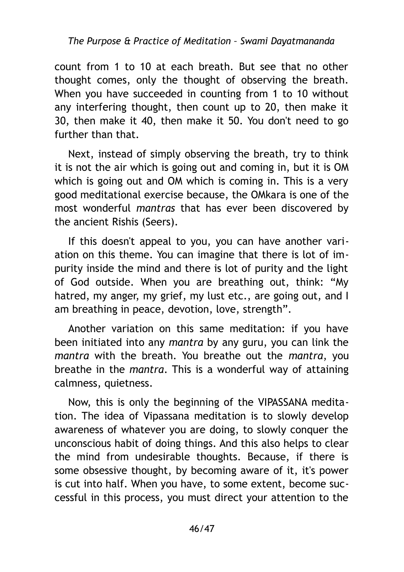count from 1 to 10 at each breath. But see that no other thought comes, only the thought of observing the breath. When you have succeeded in counting from 1 to 10 without any interfering thought, then count up to 20, then make it 30, then make it 40, then make it 50. You don't need to go further than that.

Next, instead of simply observing the breath, try to think it is not the air which is going out and coming in, but it is OM which is going out and OM which is coming in. This is a very good meditational exercise because, the OMkara is one of the most wonderful *mantras* that has ever been discovered by the ancient Rishis (Seers).

If this doesn't appeal to you, you can have another variation on this theme. You can imagine that there is lot of impurity inside the mind and there is lot of purity and the light of God outside. When you are breathing out, think: "My hatred, my anger, my grief, my lust etc., are going out, and I am breathing in peace, devotion, love, strength".

Another variation on this same meditation: if you have been initiated into any *mantra* by any guru, you can link the *mantra* with the breath. You breathe out the *mantra*, you breathe in the *mantra*. This is a wonderful way of attaining calmness, quietness.

Now, this is only the beginning of the VIPASSANA meditation. The idea of Vipassana meditation is to slowly develop awareness of whatever you are doing, to slowly conquer the unconscious habit of doing things. And this also helps to clear the mind from undesirable thoughts. Because, if there is some obsessive thought, by becoming aware of it, it's power is cut into half. When you have, to some extent, become successful in this process, you must direct your attention to the